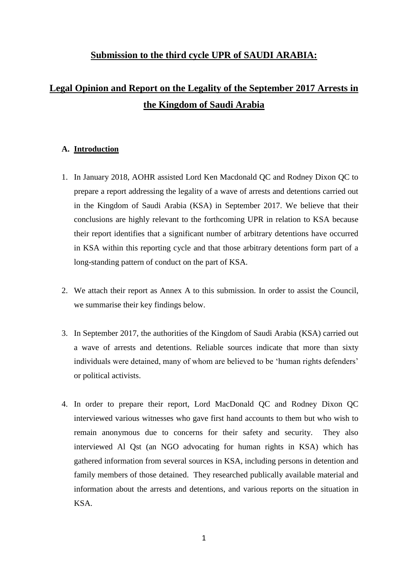## **Submission to the third cycle UPR of SAUDI ARABIA:**

## **Legal Opinion and Report on the Legality of the September 2017 Arrests in the Kingdom of Saudi Arabia**

## **A. Introduction**

- 1. In January 2018, AOHR assisted Lord Ken Macdonald QC and Rodney Dixon QC to prepare a report addressing the legality of a wave of arrests and detentions carried out in the Kingdom of Saudi Arabia (KSA) in September 2017. We believe that their conclusions are highly relevant to the forthcoming UPR in relation to KSA because their report identifies that a significant number of arbitrary detentions have occurred in KSA within this reporting cycle and that those arbitrary detentions form part of a long-standing pattern of conduct on the part of KSA.
- 2. We attach their report as Annex A to this submission. In order to assist the Council, we summarise their key findings below.
- 3. In September 2017, the authorities of the Kingdom of Saudi Arabia (KSA) carried out a wave of arrests and detentions. Reliable sources indicate that more than sixty individuals were detained, many of whom are believed to be 'human rights defenders' or political activists.
- 4. In order to prepare their report, Lord MacDonald QC and Rodney Dixon QC interviewed various witnesses who gave first hand accounts to them but who wish to remain anonymous due to concerns for their safety and security. They also interviewed Al Qst (an NGO advocating for human rights in KSA) which has gathered information from several sources in KSA, including persons in detention and family members of those detained. They researched publically available material and information about the arrests and detentions, and various reports on the situation in KSA.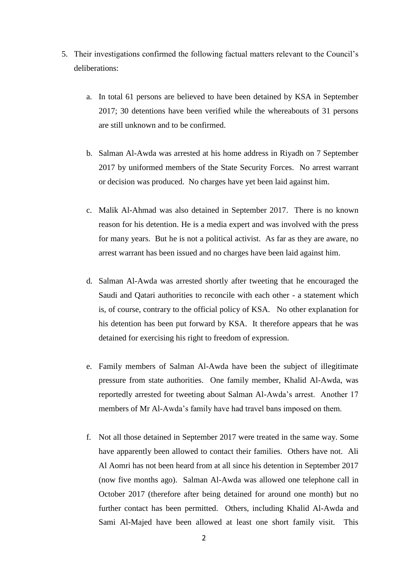- 5. Their investigations confirmed the following factual matters relevant to the Council's deliberations:
	- a. In total 61 persons are believed to have been detained by KSA in September 2017; 30 detentions have been verified while the whereabouts of 31 persons are still unknown and to be confirmed.
	- b. Salman Al-Awda was arrested at his home address in Riyadh on 7 September 2017 by uniformed members of the State Security Forces. No arrest warrant or decision was produced. No charges have yet been laid against him.
	- c. Malik Al-Ahmad was also detained in September 2017. There is no known reason for his detention. He is a media expert and was involved with the press for many years. But he is not a political activist. As far as they are aware, no arrest warrant has been issued and no charges have been laid against him.
	- d. Salman Al-Awda was arrested shortly after tweeting that he encouraged the Saudi and Qatari authorities to reconcile with each other - a statement which is, of course, contrary to the official policy of KSA. No other explanation for his detention has been put forward by KSA. It therefore appears that he was detained for exercising his right to freedom of expression.
	- e. Family members of Salman Al-Awda have been the subject of illegitimate pressure from state authorities. One family member, Khalid Al-Awda, was reportedly arrested for tweeting about Salman Al-Awda's arrest. Another 17 members of Mr Al-Awda's family have had travel bans imposed on them.
	- f. Not all those detained in September 2017 were treated in the same way. Some have apparently been allowed to contact their families. Others have not. Ali Al Aomri has not been heard from at all since his detention in September 2017 (now five months ago). Salman Al-Awda was allowed one telephone call in October 2017 (therefore after being detained for around one month) but no further contact has been permitted. Others, including Khalid Al-Awda and Sami Al-Majed have been allowed at least one short family visit. This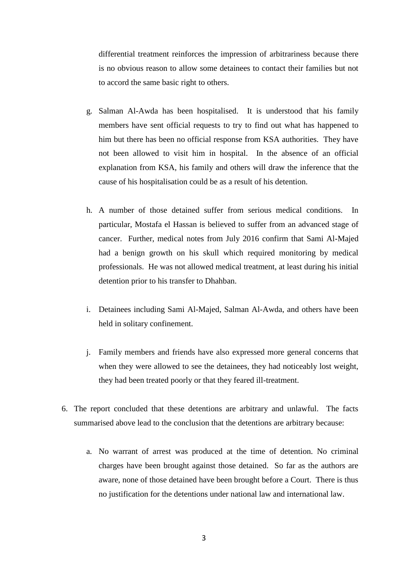differential treatment reinforces the impression of arbitrariness because there is no obvious reason to allow some detainees to contact their families but not to accord the same basic right to others.

- g. Salman Al-Awda has been hospitalised. It is understood that his family members have sent official requests to try to find out what has happened to him but there has been no official response from KSA authorities. They have not been allowed to visit him in hospital. In the absence of an official explanation from KSA, his family and others will draw the inference that the cause of his hospitalisation could be as a result of his detention.
- h. A number of those detained suffer from serious medical conditions. In particular, Mostafa el Hassan is believed to suffer from an advanced stage of cancer. Further, medical notes from July 2016 confirm that Sami Al-Majed had a benign growth on his skull which required monitoring by medical professionals. He was not allowed medical treatment, at least during his initial detention prior to his transfer to Dhahban.
- i. Detainees including Sami Al-Majed, Salman Al-Awda, and others have been held in solitary confinement.
- j. Family members and friends have also expressed more general concerns that when they were allowed to see the detainees, they had noticeably lost weight, they had been treated poorly or that they feared ill-treatment.
- 6. The report concluded that these detentions are arbitrary and unlawful. The facts summarised above lead to the conclusion that the detentions are arbitrary because:
	- a. No warrant of arrest was produced at the time of detention. No criminal charges have been brought against those detained. So far as the authors are aware, none of those detained have been brought before a Court. There is thus no justification for the detentions under national law and international law.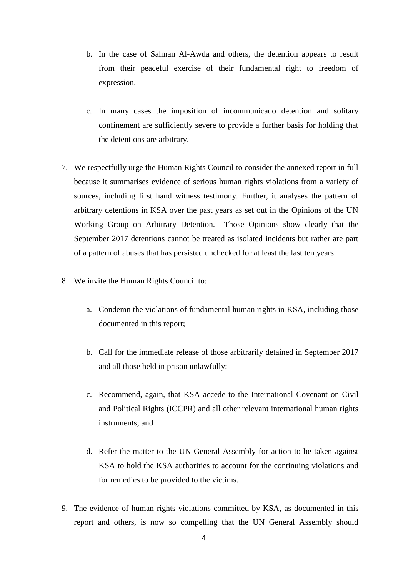- b. In the case of Salman Al-Awda and others, the detention appears to result from their peaceful exercise of their fundamental right to freedom of expression.
- c. In many cases the imposition of incommunicado detention and solitary confinement are sufficiently severe to provide a further basis for holding that the detentions are arbitrary.
- 7. We respectfully urge the Human Rights Council to consider the annexed report in full because it summarises evidence of serious human rights violations from a variety of sources, including first hand witness testimony. Further, it analyses the pattern of arbitrary detentions in KSA over the past years as set out in the Opinions of the UN Working Group on Arbitrary Detention. Those Opinions show clearly that the September 2017 detentions cannot be treated as isolated incidents but rather are part of a pattern of abuses that has persisted unchecked for at least the last ten years.
- 8. We invite the Human Rights Council to:
	- a. Condemn the violations of fundamental human rights in KSA, including those documented in this report;
	- b. Call for the immediate release of those arbitrarily detained in September 2017 and all those held in prison unlawfully;
	- c. Recommend, again, that KSA accede to the International Covenant on Civil and Political Rights (ICCPR) and all other relevant international human rights instruments; and
	- d. Refer the matter to the UN General Assembly for action to be taken against KSA to hold the KSA authorities to account for the continuing violations and for remedies to be provided to the victims.
- 9. The evidence of human rights violations committed by KSA, as documented in this report and others, is now so compelling that the UN General Assembly should